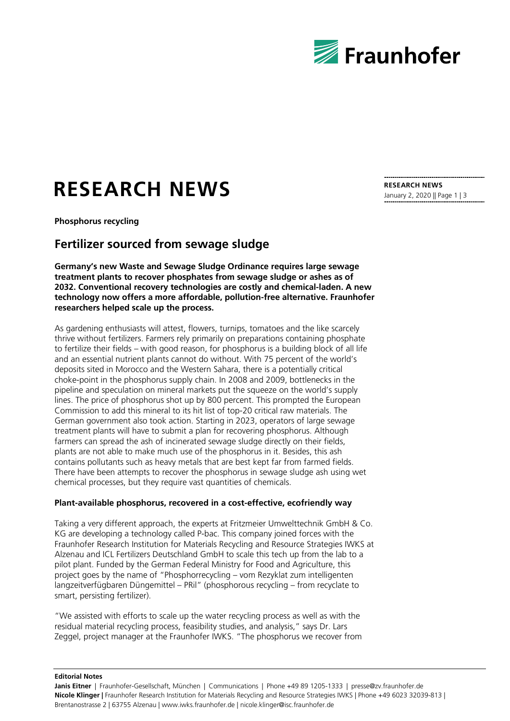

# **RESEARCH NEWS**

**Phosphorus recycling**

## **Fertilizer sourced from sewage sludge**

**Germany's new Waste and Sewage Sludge Ordinance requires large sewage treatment plants to recover phosphates from sewage sludge or ashes as of 2032. Conventional recovery technologies are costly and chemical-laden. A new technology now offers a more affordable, pollution-free alternative. Fraunhofer researchers helped scale up the process.**

As gardening enthusiasts will attest, flowers, turnips, tomatoes and the like scarcely thrive without fertilizers. Farmers rely primarily on preparations containing phosphate to fertilize their fields – with good reason, for phosphorus is a building block of all life and an essential nutrient plants cannot do without. With 75 percent of the world's deposits sited in Morocco and the Western Sahara, there is a potentially critical choke-point in the phosphorus supply chain. In 2008 and 2009, bottlenecks in the pipeline and speculation on mineral markets put the squeeze on the world's supply lines. The price of phosphorus shot up by 800 percent. This prompted the European Commission to add this mineral to its hit list of top-20 critical raw materials. The German government also took action. Starting in 2023, operators of large sewage treatment plants will have to submit a plan for recovering phosphorus. Although farmers can spread the ash of incinerated sewage sludge directly on their fields, plants are not able to make much use of the phosphorus in it. Besides, this ash contains pollutants such as heavy metals that are best kept far from farmed fields. There have been attempts to recover the phosphorus in sewage sludge ash using wet chemical processes, but they require vast quantities of chemicals.

#### **Plant-available phosphorus, recovered in a cost-effective, ecofriendly way**

Taking a very different approach, the experts at Fritzmeier Umwelttechnik GmbH & Co. KG are developing a technology called P-bac. This company joined forces with the Fraunhofer Research Institution for Materials Recycling and Resource Strategies IWKS at Alzenau and ICL Fertilizers Deutschland GmbH to scale this tech up from the lab to a pilot plant. Funded by the German Federal Ministry for Food and Agriculture, this project goes by the name of "Phosphorrecycling – vom Rezyklat zum intelligenten langzeitverfügbaren Düngemittel – PRil" (phosphorous recycling – from recyclate to smart, persisting fertilizer).

"We assisted with efforts to scale up the water recycling process as well as with the residual material recycling process, feasibility studies, and analysis," says Dr. Lars Zeggel, project manager at the Fraunhofer IWKS. "The phosphorus we recover from **RESEARCH NEWS** January 2, 2020 || Page 1 | 3

**Editorial Notes**

Janis Eitner | Fraunhofer-Gesellschaft, München | Communications | Phone +49 89 1205-1333 | presse@zv.fraunhofer.de **Nicole Klinger |** Fraunhofer Research Institution for Materials Recycling and Resource Strategies IWKS | Phone +49 6023 32039-813 | Brentanostrasse 2 | 63755 Alzenau | www.iwks.fraunhofer.de | nicole.klinger@isc.fraunhofer.de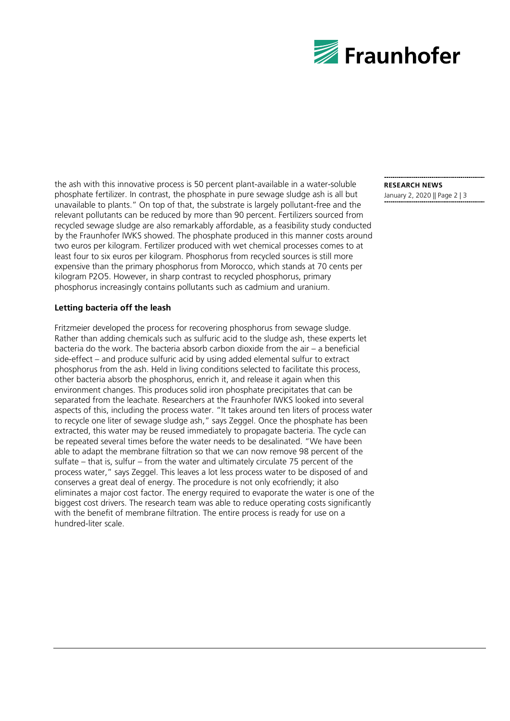

the ash with this innovative process is 50 percent plant-available in a water-soluble phosphate fertilizer. In contrast, the phosphate in pure sewage sludge ash is all but unavailable to plants." On top of that, the substrate is largely pollutant-free and the relevant pollutants can be reduced by more than 90 percent. Fertilizers sourced from recycled sewage sludge are also remarkably affordable, as a feasibility study conducted by the Fraunhofer IWKS showed. The phosphate produced in this manner costs around two euros per kilogram. Fertilizer produced with wet chemical processes comes to at least four to six euros per kilogram. Phosphorus from recycled sources is still more expensive than the primary phosphorus from Morocco, which stands at 70 cents per kilogram P2O5. However, in sharp contrast to recycled phosphorus, primary phosphorus increasingly contains pollutants such as cadmium and uranium.

#### **Letting bacteria off the leash**

Fritzmeier developed the process for recovering phosphorus from sewage sludge. Rather than adding chemicals such as sulfuric acid to the sludge ash, these experts let bacteria do the work. The bacteria absorb carbon dioxide from the air – a beneficial side-effect – and produce sulfuric acid by using added elemental sulfur to extract phosphorus from the ash. Held in living conditions selected to facilitate this process, other bacteria absorb the phosphorus, enrich it, and release it again when this environment changes. This produces solid iron phosphate precipitates that can be separated from the leachate. Researchers at the Fraunhofer IWKS looked into several aspects of this, including the process water. "It takes around ten liters of process water to recycle one liter of sewage sludge ash," says Zeggel. Once the phosphate has been extracted, this water may be reused immediately to propagate bacteria. The cycle can be repeated several times before the water needs to be desalinated. "We have been able to adapt the membrane filtration so that we can now remove 98 percent of the sulfate – that is, sulfur – from the water and ultimately circulate 75 percent of the process water," says Zeggel. This leaves a lot less process water to be disposed of and conserves a great deal of energy. The procedure is not only ecofriendly; it also eliminates a major cost factor. The energy required to evaporate the water is one of the biggest cost drivers. The research team was able to reduce operating costs significantly with the benefit of membrane filtration. The entire process is ready for use on a hundred-liter scale.

### **RESEARCH NEWS**

January 2, 2020 || Page 2 | 3